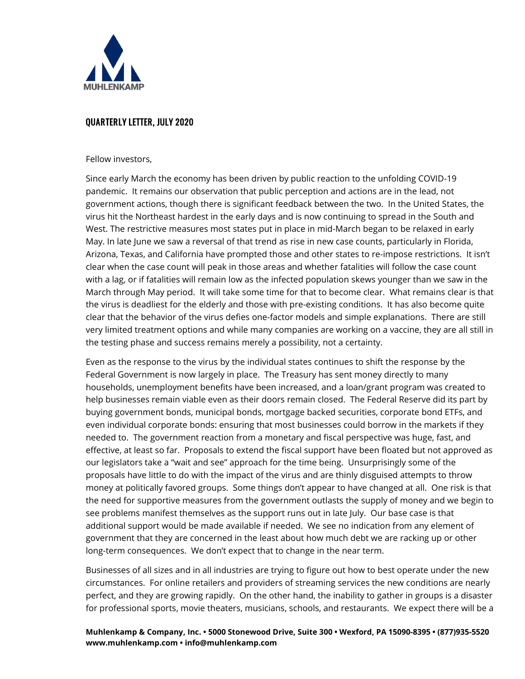

#### QUARTERLY LETTER, JULY 2020

Fellow investors,

Since early March the economy has been driven by public reaction to the unfolding COVID-19 pandemic. It remains our observation that public perception and actions are in the lead, not government actions, though there is significant feedback between the two. In the United States, the virus hit the Northeast hardest in the early days and is now continuing to spread in the South and West. The restrictive measures most states put in place in mid-March began to be relaxed in early May. In late June we saw a reversal of that trend as rise in new case counts, particularly in Florida, Arizona, Texas, and California have prompted those and other states to re-impose restrictions. It isn't clear when the case count will peak in those areas and whether fatalities will follow the case count with a lag, or if fatalities will remain low as the infected population skews younger than we saw in the March through May period. It will take some time for that to become clear. What remains clear is that the virus is deadliest for the elderly and those with pre-existing conditions. It has also become quite clear that the behavior of the virus defies one-factor models and simple explanations. There are still very limited treatment options and while many companies are working on a vaccine, they are all still in the testing phase and success remains merely a possibility, not a certainty.

Even as the response to the virus by the individual states continues to shift the response by the Federal Government is now largely in place. The Treasury has sent money directly to many households, unemployment benefits have been increased, and a loan/grant program was created to help businesses remain viable even as their doors remain closed. The Federal Reserve did its part by buying government bonds, municipal bonds, mortgage backed securities, corporate bond ETFs, and even individual corporate bonds: ensuring that most businesses could borrow in the markets if they needed to. The government reaction from a monetary and fiscal perspective was huge, fast, and effective, at least so far. Proposals to extend the fiscal support have been floated but not approved as our legislators take a "wait and see" approach for the time being. Unsurprisingly some of the proposals have little to do with the impact of the virus and are thinly disguised attempts to throw money at politically favored groups. Some things don't appear to have changed at all. One risk is that the need for supportive measures from the government outlasts the supply of money and we begin to see problems manifest themselves as the support runs out in late July. Our base case is that additional support would be made available if needed. We see no indication from any element of government that they are concerned in the least about how much debt we are racking up or other long-term consequences. We don't expect that to change in the near term.

Businesses of all sizes and in all industries are trying to figure out how to best operate under the new circumstances. For online retailers and providers of streaming services the new conditions are nearly perfect, and they are growing rapidly. On the other hand, the inability to gather in groups is a disaster for professional sports, movie theaters, musicians, schools, and restaurants. We expect there will be a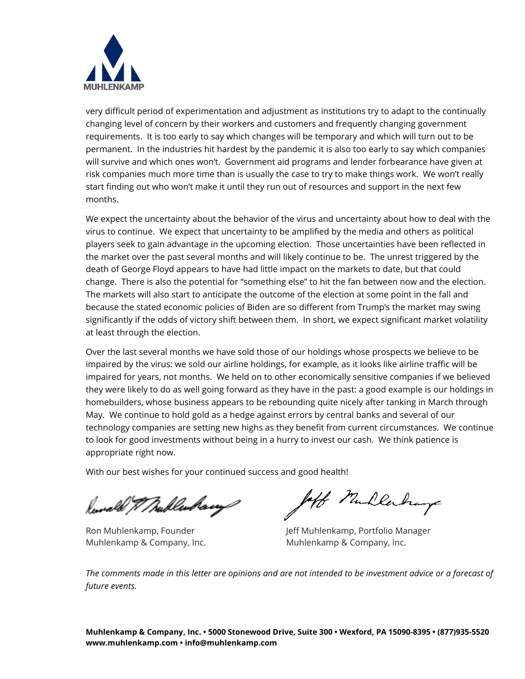

very difficult period of experimentation and adjustment as institutions try to adapt to the continually changing level of concern by their workers and customers and frequently changing government requirements. It is too early to say which changes will be temporary and which will turn out to be permanent. In the industries hit hardest by the pandemic it is also too early to say which companies will survive and which ones won't. Government aid programs and lender forbearance have given at risk companies much more time than is usually the case to try to make things work. We won't really start finding out who won't make it until they run out of resources and support in the next few months.

We expect the uncertainty about the behavior of the virus and uncertainty about how to deal with the virus to continue. We expect that uncertainty to be amplified by the media and others as political players seek to gain advantage in the upcoming election. Those uncertainties have been reflected in the market over the past several months and will likely continue to be. The unrest triggered by the death of George Floyd appears to have had little impact on the markets to date, but that could change. There is also the potential for "something else" to hit the fan between now and the election. The markets will also start to anticipate the outcome of the election at some point in the fall and because the stated economic policies of Biden are so different from Trump's the market may swing significantly if the odds of victory shift between them. In short, we expect significant market volatility at least through the election.

Over the last several months we have sold those of our holdings whose prospects we believe to be impaired by the virus: we sold our airline holdings, for example, as it looks like airline traffic will be impaired for years, not months. We held on to other economically sensitive companies if we believed they were likely to do as well going forward as they have in the past: a good example is our holdings in homebuilders, whose business appears to be rebounding quite nicely after tanking in March through May. We continue to hold gold as a hedge against errors by central banks and several of our technology companies are setting new highs as they benefit from current circumstances. We continue to look for good investments without being in a hurry to invest our cash. We think patience is appropriate right now.

With our best wishes for your continued success and good health!

Serval & Thublenhavy

off Mullerhay

Ron Muhlenkamp, Founder The Jeff Muhlenkamp, Portfolio Manager Muhlenkamp & Company, Inc. Muhlenkamp & Company, Inc.

*The comments made in this letter are opinions and are not intended to be investment advice or a forecast of future events.*

**Muhlenkamp & Company, Inc. • 5000 Stonewood Drive, Suite 300 • Wexford, PA 15090-8395 • (877)935-5520 www.muhlenkamp.com [• info@muhlenkamp.com](mailto:info@muhlenkamp.com)**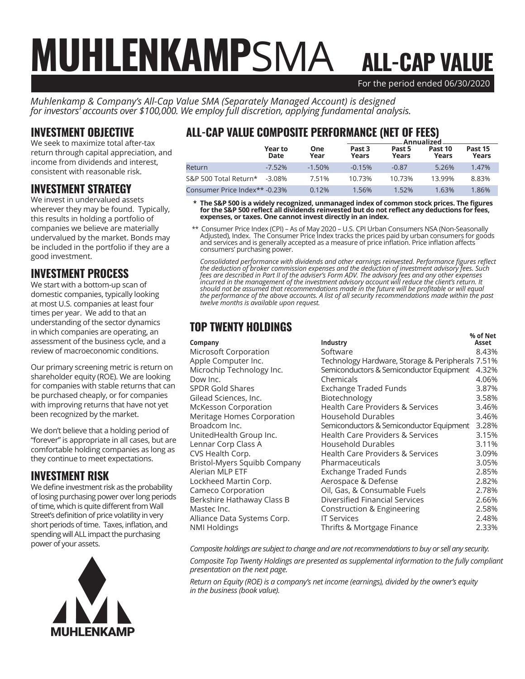# For the period ended 06/30/2020 ALL-CAP VALUE MUHLENKAMPSMA

*Muhlenkamp & Company's All-Cap Value SMA (Separately Managed Account) is designed for investors' accounts over \$100,000. We employ full discretion, applying fundamental analysis.*

#### INVESTMENT OBJECTIVE

We seek to maximize total after-tax return through capital appreciation, and income from dividends and interest, consistent with reasonable risk.

#### INVESTMENT STRATEGY

We invest in undervalued assets wherever they may be found. Typically, this results in holding a portfolio of companies we believe are materially undervalued by the market. Bonds may be included in the portfolio if they are a good investment.

### INVESTMENT PROCESS

We start with a bottom-up scan of domestic companies, typically looking at most U.S. companies at least four times per year. We add to that an understanding of the sector dynamics in which companies are operating, an assessment of the business cycle, and a review of macroeconomic conditions.

Our primary screening metric is return on shareholder equity (ROE). We are looking for companies with stable returns that can be purchased cheaply, or for companies with improving returns that have not yet been recognized by the market.

We don't believe that a holding period of "forever" is appropriate in all cases, but are comfortable holding companies as long as they continue to meet expectations.

#### INVESTMENT RISK

We define investment risk as the probability of losing purchasing power over long periods of time, which is quite different from Wall Street's definition of price volatility in very short periods of time. Taxes, inflation, and spending will ALL impact the purchasing power of your assets.



# ALL-CAP VALUE COMPOSITE PERFORMANCE (NET OF FEES)

|                               |                 |             | Annualized.     |                 |                  |                  |  |
|-------------------------------|-----------------|-------------|-----------------|-----------------|------------------|------------------|--|
|                               | Year to<br>Date | One<br>Year | Past 3<br>Years | Past 5<br>Years | Past 10<br>Years | Past 15<br>Years |  |
| Return                        | $-7.52%$        | $-1.50\%$   | $-0.15%$        | $-0.87$         | 5.26%            | 1.47%            |  |
| S&P 500 Total Return*         | $-3.08\%$       | 7.51%       | 10.73%          | 10.73%          | 13.99%           | 8.83%            |  |
| Consumer Price Index** -0.23% |                 | 0.12%       | 1.56%           | 1.52%           | 1.63%            | 1.86%            |  |

 **\* The S&P 500 is a widely recognized, unmanaged index of common stock prices. The figures for the S&P 500 reflect all dividends reinvested but do not reflect any deductions for fees, expenses, or taxes. One cannot invest directly in an index.**

 \*\* Consumer Price Index (CPI) – As of May 2020 – U.S. CPI Urban Consumers NSA (Non-Seasonally Adjusted), Index. The Consumer Price Index tracks the prices paid by urban consumers for goods and services and is generally accepted as a measure of price inflation. Price inflation affects consumers' purchasing power.

*Consolidated performance with dividends and other earnings reinvested. Performance figures reflect the deduction of broker commission expenses and the deduction of investment advisory fees. Such fees are described in Part II of the adviser's Form ADV. The advisory fees and any other expenses incurred in the management of the investment advisory account will reduce the client's return. It should not be assumed that recommendations made in the future will be profitable or will equal the performance of the above accounts. A list of all security recommendations made within the past twelve months is available upon request.*

# TOP TWENTY HOLDINGS

|                              |                                                  | % of Net |
|------------------------------|--------------------------------------------------|----------|
| Company                      | Industry                                         | Asset    |
| Microsoft Corporation        | Software                                         | 8.43%    |
| Apple Computer Inc.          | Technology Hardware, Storage & Peripherals 7.51% |          |
| Microchip Technology Inc.    | Semiconductors & Semiconductor Equipment         | 4.32%    |
| Dow Inc.                     | Chemicals                                        | 4.06%    |
| <b>SPDR Gold Shares</b>      | Exchange Traded Funds                            | 3.87%    |
| Gilead Sciences, Inc.        | Biotechnology                                    | 3.58%    |
| McKesson Corporation         | <b>Health Care Providers &amp; Services</b>      | 3.46%    |
| Meritage Homes Corporation   | <b>Household Durables</b>                        | 3.46%    |
| Broadcom Inc.                | Semiconductors & Semiconductor Equipment         | 3.28%    |
| UnitedHealth Group Inc.      | <b>Health Care Providers &amp; Services</b>      | 3.15%    |
| Lennar Corp Class A          | <b>Household Durables</b>                        | 3.11%    |
| CVS Health Corp.             | <b>Health Care Providers &amp; Services</b>      | 3.09%    |
| Bristol-Myers Squibb Company | Pharmaceuticals                                  | 3.05%    |
| Alerian MLP ETF              | <b>Exchange Traded Funds</b>                     | 2.85%    |
| Lockheed Martin Corp.        | Aerospace & Defense                              | 2.82%    |
| Cameco Corporation           | Oil, Gas, & Consumable Fuels                     | 2.78%    |
| Berkshire Hathaway Class B   | Diversified Financial Services                   | 2.66%    |
| Mastec Inc.                  | Construction & Engineering                       | 2.58%    |
| Alliance Data Systems Corp.  | <b>IT Services</b>                               | 2.48%    |
| <b>NMI Holdings</b>          | Thrifts & Mortgage Finance                       | 2.33%    |
|                              |                                                  |          |

*Composite holdings are subject to change and are not recommendations to buy or sell any security.*

*Composite Top Twenty Holdings are presented as supplemental information to the fully compliant presentation on the next page.*

*Return on Equity (ROE) is a company's net income (earnings), divided by the owner's equity in the business (book value).*